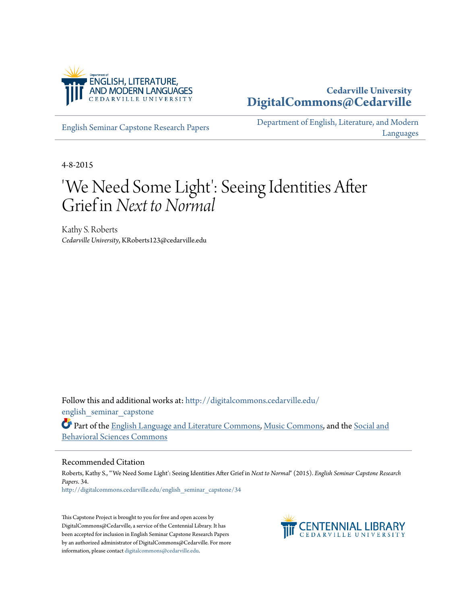

## **Cedarville University [DigitalCommons@Cedarville](http://digitalcommons.cedarville.edu?utm_source=digitalcommons.cedarville.edu%2Fenglish_seminar_capstone%2F34&utm_medium=PDF&utm_campaign=PDFCoverPages)**

[English Seminar Capstone Research Papers](http://digitalcommons.cedarville.edu/english_seminar_capstone?utm_source=digitalcommons.cedarville.edu%2Fenglish_seminar_capstone%2F34&utm_medium=PDF&utm_campaign=PDFCoverPages)

[Department of English, Literature, and Modern](http://digitalcommons.cedarville.edu/english_literature_modern_languages?utm_source=digitalcommons.cedarville.edu%2Fenglish_seminar_capstone%2F34&utm_medium=PDF&utm_campaign=PDFCoverPages) [Languages](http://digitalcommons.cedarville.edu/english_literature_modern_languages?utm_source=digitalcommons.cedarville.edu%2Fenglish_seminar_capstone%2F34&utm_medium=PDF&utm_campaign=PDFCoverPages)

4-8-2015

## 'We Need Some Light': Seeing Identities After Grief in*Next to Normal*

Kathy S. Roberts *Cedarville University*, KRoberts123@cedarville.edu

Follow this and additional works at: [http://digitalcommons.cedarville.edu/](http://digitalcommons.cedarville.edu/english_seminar_capstone?utm_source=digitalcommons.cedarville.edu%2Fenglish_seminar_capstone%2F34&utm_medium=PDF&utm_campaign=PDFCoverPages) english seminar capstone

Part of the [English Language and Literature Commons](http://network.bepress.com/hgg/discipline/455?utm_source=digitalcommons.cedarville.edu%2Fenglish_seminar_capstone%2F34&utm_medium=PDF&utm_campaign=PDFCoverPages), [Music Commons,](http://network.bepress.com/hgg/discipline/518?utm_source=digitalcommons.cedarville.edu%2Fenglish_seminar_capstone%2F34&utm_medium=PDF&utm_campaign=PDFCoverPages) and the [Social and](http://network.bepress.com/hgg/discipline/316?utm_source=digitalcommons.cedarville.edu%2Fenglish_seminar_capstone%2F34&utm_medium=PDF&utm_campaign=PDFCoverPages) [Behavioral Sciences Commons](http://network.bepress.com/hgg/discipline/316?utm_source=digitalcommons.cedarville.edu%2Fenglish_seminar_capstone%2F34&utm_medium=PDF&utm_campaign=PDFCoverPages)

## Recommended Citation

Roberts, Kathy S., "'We Need Some Light': Seeing Identities After Grief in *Next to Normal*" (2015). *English Seminar Capstone Research Papers*. 34. [http://digitalcommons.cedarville.edu/english\\_seminar\\_capstone/34](http://digitalcommons.cedarville.edu/english_seminar_capstone/34?utm_source=digitalcommons.cedarville.edu%2Fenglish_seminar_capstone%2F34&utm_medium=PDF&utm_campaign=PDFCoverPages)

This Capstone Project is brought to you for free and open access by DigitalCommons@Cedarville, a service of the Centennial Library. It has been accepted for inclusion in English Seminar Capstone Research Papers by an authorized administrator of DigitalCommons@Cedarville. For more information, please contact [digitalcommons@cedarville.edu.](mailto:digitalcommons@cedarville.edu)

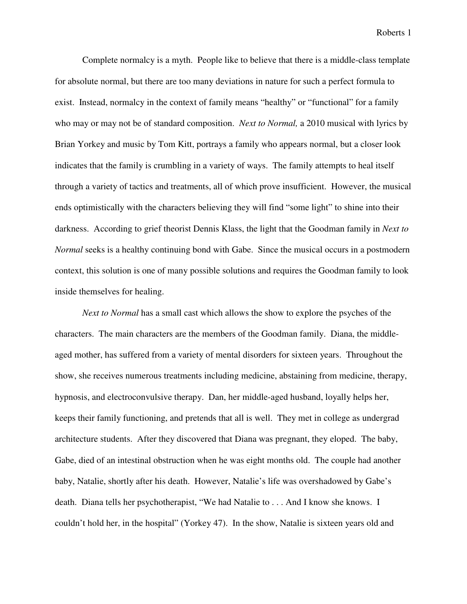Complete normalcy is a myth. People like to believe that there is a middle-class template for absolute normal, but there are too many deviations in nature for such a perfect formula to exist. Instead, normalcy in the context of family means "healthy" or "functional" for a family who may or may not be of standard composition. *Next to Normal,* a 2010 musical with lyrics by Brian Yorkey and music by Tom Kitt, portrays a family who appears normal, but a closer look indicates that the family is crumbling in a variety of ways. The family attempts to heal itself through a variety of tactics and treatments, all of which prove insufficient. However, the musical ends optimistically with the characters believing they will find "some light" to shine into their darkness. According to grief theorist Dennis Klass, the light that the Goodman family in *Next to Normal* seeks is a healthy continuing bond with Gabe. Since the musical occurs in a postmodern context, this solution is one of many possible solutions and requires the Goodman family to look inside themselves for healing.

*Next to Normal* has a small cast which allows the show to explore the psyches of the characters. The main characters are the members of the Goodman family. Diana, the middleaged mother, has suffered from a variety of mental disorders for sixteen years. Throughout the show, she receives numerous treatments including medicine, abstaining from medicine, therapy, hypnosis, and electroconvulsive therapy. Dan, her middle-aged husband, loyally helps her, keeps their family functioning, and pretends that all is well. They met in college as undergrad architecture students. After they discovered that Diana was pregnant, they eloped. The baby, Gabe, died of an intestinal obstruction when he was eight months old. The couple had another baby, Natalie, shortly after his death. However, Natalie's life was overshadowed by Gabe's death. Diana tells her psychotherapist, "We had Natalie to . . . And I know she knows. I couldn't hold her, in the hospital" (Yorkey 47). In the show, Natalie is sixteen years old and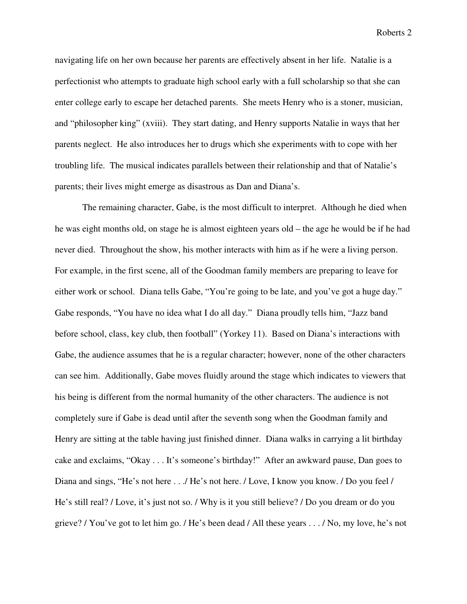navigating life on her own because her parents are effectively absent in her life. Natalie is a perfectionist who attempts to graduate high school early with a full scholarship so that she can enter college early to escape her detached parents. She meets Henry who is a stoner, musician, and "philosopher king" (xviii). They start dating, and Henry supports Natalie in ways that her parents neglect. He also introduces her to drugs which she experiments with to cope with her troubling life. The musical indicates parallels between their relationship and that of Natalie's parents; their lives might emerge as disastrous as Dan and Diana's.

The remaining character, Gabe, is the most difficult to interpret. Although he died when he was eight months old, on stage he is almost eighteen years old – the age he would be if he had never died. Throughout the show, his mother interacts with him as if he were a living person. For example, in the first scene, all of the Goodman family members are preparing to leave for either work or school. Diana tells Gabe, "You're going to be late, and you've got a huge day." Gabe responds, "You have no idea what I do all day." Diana proudly tells him, "Jazz band before school, class, key club, then football" (Yorkey 11). Based on Diana's interactions with Gabe, the audience assumes that he is a regular character; however, none of the other characters can see him. Additionally, Gabe moves fluidly around the stage which indicates to viewers that his being is different from the normal humanity of the other characters. The audience is not completely sure if Gabe is dead until after the seventh song when the Goodman family and Henry are sitting at the table having just finished dinner. Diana walks in carrying a lit birthday cake and exclaims, "Okay . . . It's someone's birthday!" After an awkward pause, Dan goes to Diana and sings, "He's not here . . ./ He's not here. / Love, I know you know. / Do you feel / He's still real? / Love, it's just not so. / Why is it you still believe? / Do you dream or do you grieve? / You've got to let him go. / He's been dead / All these years . . . / No, my love, he's not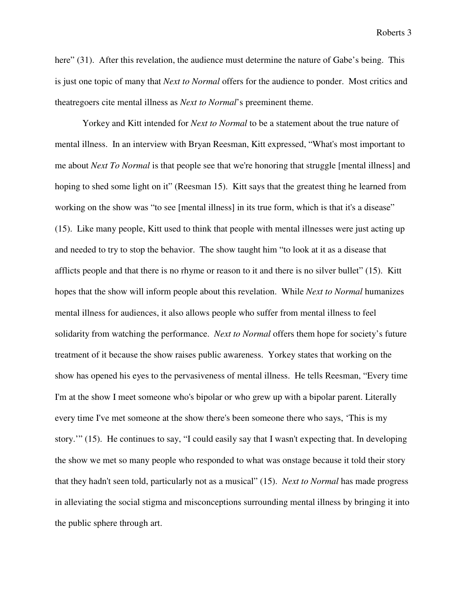here" (31). After this revelation, the audience must determine the nature of Gabe's being. This is just one topic of many that *Next to Normal* offers for the audience to ponder. Most critics and theatregoers cite mental illness as *Next to Normal*'s preeminent theme.

Yorkey and Kitt intended for *Next to Normal* to be a statement about the true nature of mental illness. In an interview with Bryan Reesman, Kitt expressed, "What's most important to me about *Next To Normal* is that people see that we're honoring that struggle [mental illness] and hoping to shed some light on it" (Reesman 15). Kitt says that the greatest thing he learned from working on the show was "to see [mental illness] in its true form, which is that it's a disease" (15). Like many people, Kitt used to think that people with mental illnesses were just acting up and needed to try to stop the behavior. The show taught him "to look at it as a disease that afflicts people and that there is no rhyme or reason to it and there is no silver bullet" (15). Kitt hopes that the show will inform people about this revelation. While *Next to Normal* humanizes mental illness for audiences, it also allows people who suffer from mental illness to feel solidarity from watching the performance. *Next to Normal* offers them hope for society's future treatment of it because the show raises public awareness. Yorkey states that working on the show has opened his eyes to the pervasiveness of mental illness. He tells Reesman, "Every time I'm at the show I meet someone who's bipolar or who grew up with a bipolar parent. Literally every time I've met someone at the show there's been someone there who says, 'This is my story.'" (15). He continues to say, "I could easily say that I wasn't expecting that. In developing the show we met so many people who responded to what was onstage because it told their story that they hadn't seen told, particularly not as a musical" (15). *Next to Normal* has made progress in alleviating the social stigma and misconceptions surrounding mental illness by bringing it into the public sphere through art.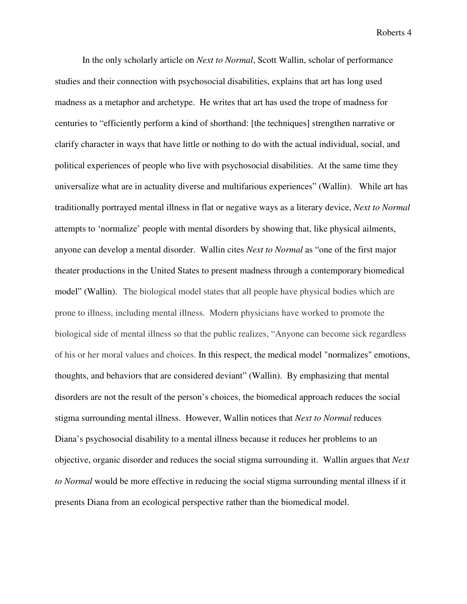In the only scholarly article on *Next to Normal*, Scott Wallin, scholar of performance studies and their connection with psychosocial disabilities, explains that art has long used madness as a metaphor and archetype. He writes that art has used the trope of madness for centuries to "efficiently perform a kind of shorthand: [the techniques] strengthen narrative or clarify character in ways that have little or nothing to do with the actual individual, social, and political experiences of people who live with psychosocial disabilities. At the same time they universalize what are in actuality diverse and multifarious experiences" (Wallin). While art has traditionally portrayed mental illness in flat or negative ways as a literary device, *Next to Normal*  attempts to 'normalize' people with mental disorders by showing that, like physical ailments, anyone can develop a mental disorder. Wallin cites *Next to Normal* as "one of the first major theater productions in the United States to present madness through a contemporary biomedical model" (Wallin). The biological model states that all people have physical bodies which are prone to illness, including mental illness. Modern physicians have worked to promote the biological side of mental illness so that the public realizes, "Anyone can become sick regardless of his or her moral values and choices. In this respect, the medical model "normalizes" emotions, thoughts, and behaviors that are considered deviant" (Wallin). By emphasizing that mental disorders are not the result of the person's choices, the biomedical approach reduces the social stigma surrounding mental illness. However, Wallin notices that *Next to Normal* reduces Diana's psychosocial disability to a mental illness because it reduces her problems to an objective, organic disorder and reduces the social stigma surrounding it. Wallin argues that *Next to Normal* would be more effective in reducing the social stigma surrounding mental illness if it presents Diana from an ecological perspective rather than the biomedical model.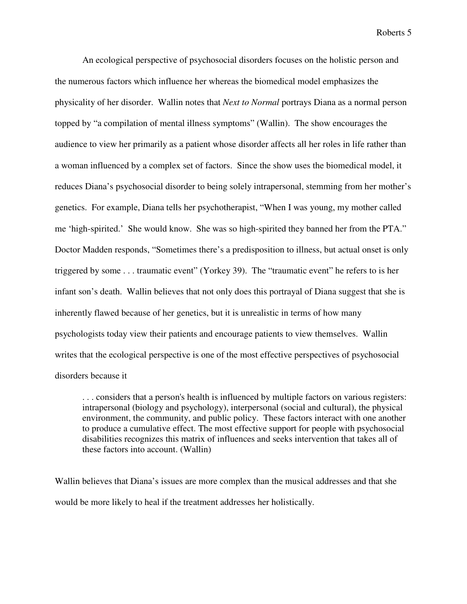An ecological perspective of psychosocial disorders focuses on the holistic person and the numerous factors which influence her whereas the biomedical model emphasizes the physicality of her disorder. Wallin notes that *Next to Normal* portrays Diana as a normal person topped by "a compilation of mental illness symptoms" (Wallin). The show encourages the audience to view her primarily as a patient whose disorder affects all her roles in life rather than a woman influenced by a complex set of factors. Since the show uses the biomedical model, it reduces Diana's psychosocial disorder to being solely intrapersonal, stemming from her mother's genetics. For example, Diana tells her psychotherapist, "When I was young, my mother called me 'high-spirited.' She would know. She was so high-spirited they banned her from the PTA." Doctor Madden responds, "Sometimes there's a predisposition to illness, but actual onset is only triggered by some . . . traumatic event" (Yorkey 39). The "traumatic event" he refers to is her infant son's death. Wallin believes that not only does this portrayal of Diana suggest that she is inherently flawed because of her genetics, but it is unrealistic in terms of how many psychologists today view their patients and encourage patients to view themselves. Wallin writes that the ecological perspective is one of the most effective perspectives of psychosocial disorders because it

. . . considers that a person's health is influenced by multiple factors on various registers: intrapersonal (biology and psychology), interpersonal (social and cultural), the physical environment, the community, and public policy. These factors interact with one another to produce a cumulative effect. The most effective support for people with psychosocial disabilities recognizes this matrix of influences and seeks intervention that takes all of these factors into account. (Wallin)

Wallin believes that Diana's issues are more complex than the musical addresses and that she would be more likely to heal if the treatment addresses her holistically.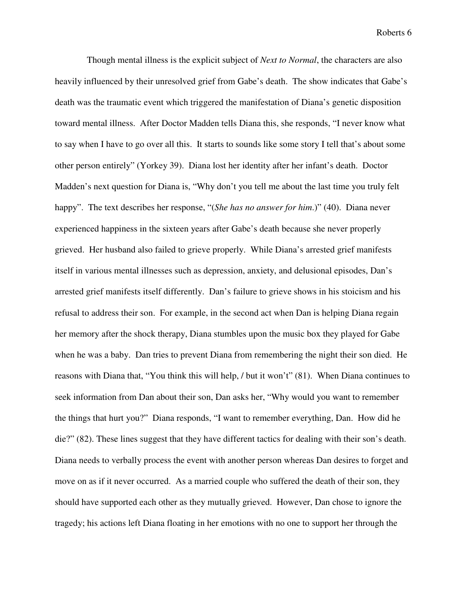Though mental illness is the explicit subject of *Next to Normal*, the characters are also heavily influenced by their unresolved grief from Gabe's death. The show indicates that Gabe's death was the traumatic event which triggered the manifestation of Diana's genetic disposition toward mental illness. After Doctor Madden tells Diana this, she responds, "I never know what to say when I have to go over all this. It starts to sounds like some story I tell that's about some other person entirely" (Yorkey 39). Diana lost her identity after her infant's death. Doctor Madden's next question for Diana is, "Why don't you tell me about the last time you truly felt happy". The text describes her response, "(*She has no answer for him*.)" (40). Diana never experienced happiness in the sixteen years after Gabe's death because she never properly grieved. Her husband also failed to grieve properly. While Diana's arrested grief manifests itself in various mental illnesses such as depression, anxiety, and delusional episodes, Dan's arrested grief manifests itself differently. Dan's failure to grieve shows in his stoicism and his refusal to address their son. For example, in the second act when Dan is helping Diana regain her memory after the shock therapy, Diana stumbles upon the music box they played for Gabe when he was a baby. Dan tries to prevent Diana from remembering the night their son died. He reasons with Diana that, "You think this will help, / but it won't" (81). When Diana continues to seek information from Dan about their son, Dan asks her, "Why would you want to remember the things that hurt you?" Diana responds, "I want to remember everything, Dan. How did he die?" (82). These lines suggest that they have different tactics for dealing with their son's death. Diana needs to verbally process the event with another person whereas Dan desires to forget and move on as if it never occurred. As a married couple who suffered the death of their son, they should have supported each other as they mutually grieved. However, Dan chose to ignore the tragedy; his actions left Diana floating in her emotions with no one to support her through the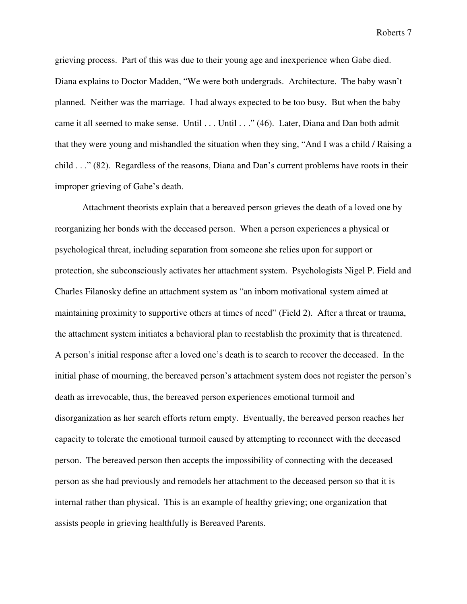grieving process. Part of this was due to their young age and inexperience when Gabe died. Diana explains to Doctor Madden, "We were both undergrads. Architecture. The baby wasn't planned. Neither was the marriage. I had always expected to be too busy. But when the baby came it all seemed to make sense. Until . . . Until . . ." (46). Later, Diana and Dan both admit that they were young and mishandled the situation when they sing, "And I was a child / Raising a child . . ." (82). Regardless of the reasons, Diana and Dan's current problems have roots in their improper grieving of Gabe's death.

Attachment theorists explain that a bereaved person grieves the death of a loved one by reorganizing her bonds with the deceased person. When a person experiences a physical or psychological threat, including separation from someone she relies upon for support or protection, she subconsciously activates her attachment system. Psychologists Nigel P. Field and Charles Filanosky define an attachment system as "an inborn motivational system aimed at maintaining proximity to supportive others at times of need" (Field 2). After a threat or trauma, the attachment system initiates a behavioral plan to reestablish the proximity that is threatened. A person's initial response after a loved one's death is to search to recover the deceased. In the initial phase of mourning, the bereaved person's attachment system does not register the person's death as irrevocable, thus, the bereaved person experiences emotional turmoil and disorganization as her search efforts return empty. Eventually, the bereaved person reaches her capacity to tolerate the emotional turmoil caused by attempting to reconnect with the deceased person. The bereaved person then accepts the impossibility of connecting with the deceased person as she had previously and remodels her attachment to the deceased person so that it is internal rather than physical. This is an example of healthy grieving; one organization that assists people in grieving healthfully is Bereaved Parents.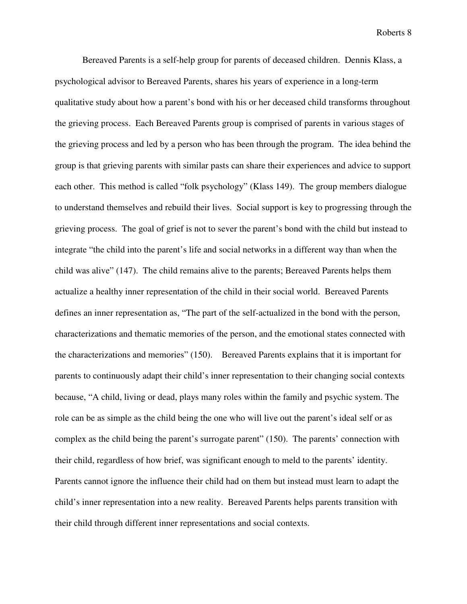Bereaved Parents is a self-help group for parents of deceased children. Dennis Klass, a psychological advisor to Bereaved Parents, shares his years of experience in a long-term qualitative study about how a parent's bond with his or her deceased child transforms throughout the grieving process. Each Bereaved Parents group is comprised of parents in various stages of the grieving process and led by a person who has been through the program. The idea behind the group is that grieving parents with similar pasts can share their experiences and advice to support each other. This method is called "folk psychology" (Klass 149). The group members dialogue to understand themselves and rebuild their lives. Social support is key to progressing through the grieving process. The goal of grief is not to sever the parent's bond with the child but instead to integrate "the child into the parent's life and social networks in a different way than when the child was alive" (147). The child remains alive to the parents; Bereaved Parents helps them actualize a healthy inner representation of the child in their social world. Bereaved Parents defines an inner representation as, "The part of the self-actualized in the bond with the person, characterizations and thematic memories of the person, and the emotional states connected with the characterizations and memories" (150). Bereaved Parents explains that it is important for parents to continuously adapt their child's inner representation to their changing social contexts because, "A child, living or dead, plays many roles within the family and psychic system. The role can be as simple as the child being the one who will live out the parent's ideal self or as complex as the child being the parent's surrogate parent" (150). The parents' connection with their child, regardless of how brief, was significant enough to meld to the parents' identity. Parents cannot ignore the influence their child had on them but instead must learn to adapt the child's inner representation into a new reality. Bereaved Parents helps parents transition with their child through different inner representations and social contexts.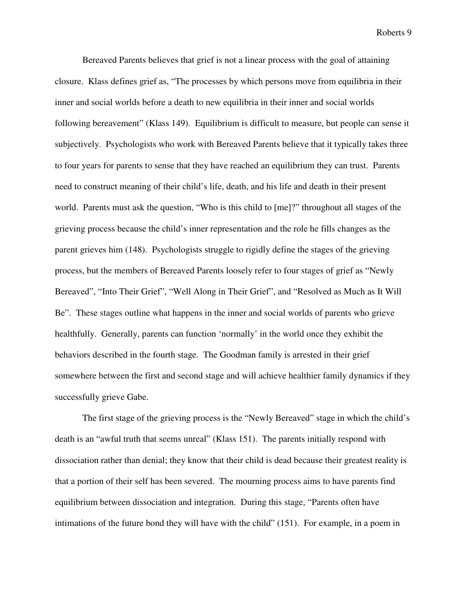Bereaved Parents believes that grief is not a linear process with the goal of attaining closure. Klass defines grief as, "The processes by which persons move from equilibria in their inner and social worlds before a death to new equilibria in their inner and social worlds following bereavement" (Klass 149). Equilibrium is difficult to measure, but people can sense it subjectively. Psychologists who work with Bereaved Parents believe that it typically takes three to four years for parents to sense that they have reached an equilibrium they can trust. Parents need to construct meaning of their child's life, death, and his life and death in their present world. Parents must ask the question, "Who is this child to [me]?" throughout all stages of the grieving process because the child's inner representation and the role he fills changes as the parent grieves him (148). Psychologists struggle to rigidly define the stages of the grieving process, but the members of Bereaved Parents loosely refer to four stages of grief as "Newly Bereaved", "Into Their Grief", "Well Along in Their Grief", and "Resolved as Much as It Will Be". These stages outline what happens in the inner and social worlds of parents who grieve healthfully. Generally, parents can function 'normally' in the world once they exhibit the behaviors described in the fourth stage. The Goodman family is arrested in their grief somewhere between the first and second stage and will achieve healthier family dynamics if they successfully grieve Gabe.

The first stage of the grieving process is the "Newly Bereaved" stage in which the child's death is an "awful truth that seems unreal" (Klass 151). The parents initially respond with dissociation rather than denial; they know that their child is dead because their greatest reality is that a portion of their self has been severed. The mourning process aims to have parents find equilibrium between dissociation and integration. During this stage, "Parents often have intimations of the future bond they will have with the child" (151). For example, in a poem in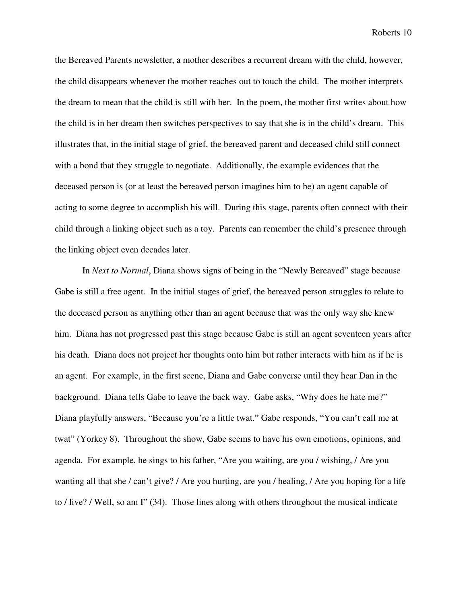the Bereaved Parents newsletter, a mother describes a recurrent dream with the child, however, the child disappears whenever the mother reaches out to touch the child. The mother interprets the dream to mean that the child is still with her. In the poem, the mother first writes about how the child is in her dream then switches perspectives to say that she is in the child's dream. This illustrates that, in the initial stage of grief, the bereaved parent and deceased child still connect with a bond that they struggle to negotiate. Additionally, the example evidences that the deceased person is (or at least the bereaved person imagines him to be) an agent capable of acting to some degree to accomplish his will. During this stage, parents often connect with their child through a linking object such as a toy. Parents can remember the child's presence through the linking object even decades later.

In *Next to Normal*, Diana shows signs of being in the "Newly Bereaved" stage because Gabe is still a free agent. In the initial stages of grief, the bereaved person struggles to relate to the deceased person as anything other than an agent because that was the only way she knew him. Diana has not progressed past this stage because Gabe is still an agent seventeen years after his death. Diana does not project her thoughts onto him but rather interacts with him as if he is an agent. For example, in the first scene, Diana and Gabe converse until they hear Dan in the background. Diana tells Gabe to leave the back way. Gabe asks, "Why does he hate me?" Diana playfully answers, "Because you're a little twat." Gabe responds, "You can't call me at twat" (Yorkey 8). Throughout the show, Gabe seems to have his own emotions, opinions, and agenda. For example, he sings to his father, "Are you waiting, are you / wishing, / Are you wanting all that she / can't give? / Are you hurting, are you / healing, / Are you hoping for a life to / live? / Well, so am I" (34). Those lines along with others throughout the musical indicate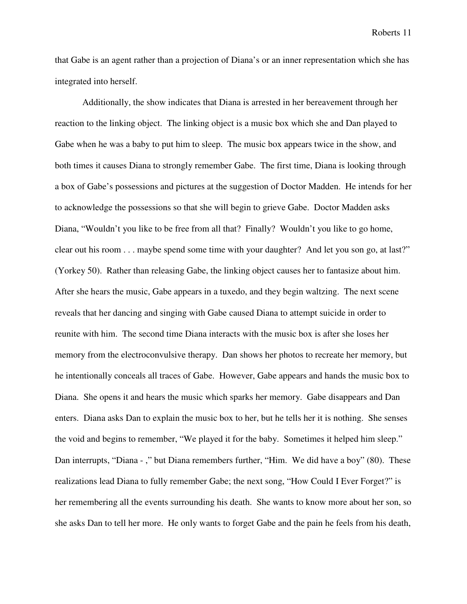that Gabe is an agent rather than a projection of Diana's or an inner representation which she has integrated into herself.

Additionally, the show indicates that Diana is arrested in her bereavement through her reaction to the linking object. The linking object is a music box which she and Dan played to Gabe when he was a baby to put him to sleep. The music box appears twice in the show, and both times it causes Diana to strongly remember Gabe. The first time, Diana is looking through a box of Gabe's possessions and pictures at the suggestion of Doctor Madden. He intends for her to acknowledge the possessions so that she will begin to grieve Gabe. Doctor Madden asks Diana, "Wouldn't you like to be free from all that? Finally? Wouldn't you like to go home, clear out his room . . . maybe spend some time with your daughter? And let you son go, at last?" (Yorkey 50). Rather than releasing Gabe, the linking object causes her to fantasize about him. After she hears the music, Gabe appears in a tuxedo, and they begin waltzing. The next scene reveals that her dancing and singing with Gabe caused Diana to attempt suicide in order to reunite with him. The second time Diana interacts with the music box is after she loses her memory from the electroconvulsive therapy. Dan shows her photos to recreate her memory, but he intentionally conceals all traces of Gabe. However, Gabe appears and hands the music box to Diana. She opens it and hears the music which sparks her memory. Gabe disappears and Dan enters. Diana asks Dan to explain the music box to her, but he tells her it is nothing. She senses the void and begins to remember, "We played it for the baby. Sometimes it helped him sleep." Dan interrupts, "Diana - ," but Diana remembers further, "Him. We did have a boy" (80). These realizations lead Diana to fully remember Gabe; the next song, "How Could I Ever Forget?" is her remembering all the events surrounding his death. She wants to know more about her son, so she asks Dan to tell her more. He only wants to forget Gabe and the pain he feels from his death,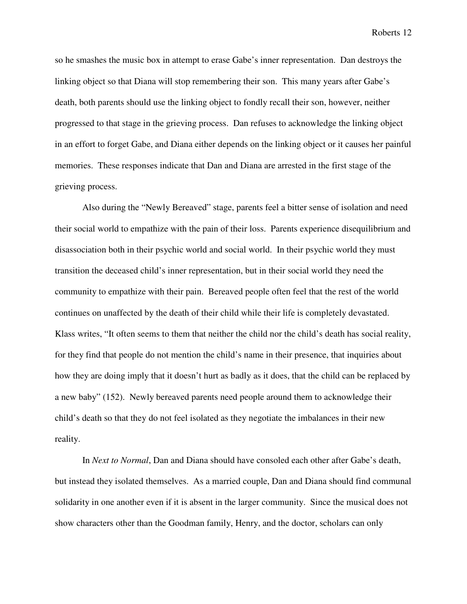so he smashes the music box in attempt to erase Gabe's inner representation. Dan destroys the linking object so that Diana will stop remembering their son. This many years after Gabe's death, both parents should use the linking object to fondly recall their son, however, neither progressed to that stage in the grieving process. Dan refuses to acknowledge the linking object in an effort to forget Gabe, and Diana either depends on the linking object or it causes her painful memories. These responses indicate that Dan and Diana are arrested in the first stage of the grieving process.

Also during the "Newly Bereaved" stage, parents feel a bitter sense of isolation and need their social world to empathize with the pain of their loss. Parents experience disequilibrium and disassociation both in their psychic world and social world. In their psychic world they must transition the deceased child's inner representation, but in their social world they need the community to empathize with their pain. Bereaved people often feel that the rest of the world continues on unaffected by the death of their child while their life is completely devastated. Klass writes, "It often seems to them that neither the child nor the child's death has social reality, for they find that people do not mention the child's name in their presence, that inquiries about how they are doing imply that it doesn't hurt as badly as it does, that the child can be replaced by a new baby" (152). Newly bereaved parents need people around them to acknowledge their child's death so that they do not feel isolated as they negotiate the imbalances in their new reality.

In *Next to Normal*, Dan and Diana should have consoled each other after Gabe's death, but instead they isolated themselves. As a married couple, Dan and Diana should find communal solidarity in one another even if it is absent in the larger community. Since the musical does not show characters other than the Goodman family, Henry, and the doctor, scholars can only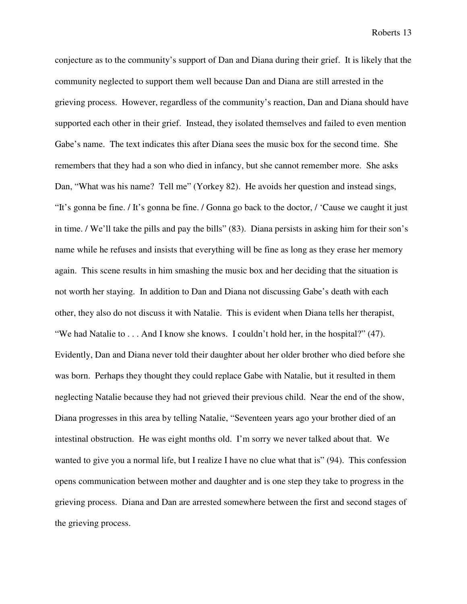conjecture as to the community's support of Dan and Diana during their grief. It is likely that the community neglected to support them well because Dan and Diana are still arrested in the grieving process. However, regardless of the community's reaction, Dan and Diana should have supported each other in their grief. Instead, they isolated themselves and failed to even mention Gabe's name. The text indicates this after Diana sees the music box for the second time. She remembers that they had a son who died in infancy, but she cannot remember more. She asks Dan, "What was his name? Tell me" (Yorkey 82). He avoids her question and instead sings, "It's gonna be fine. / It's gonna be fine. / Gonna go back to the doctor, / 'Cause we caught it just in time. / We'll take the pills and pay the bills" (83). Diana persists in asking him for their son's name while he refuses and insists that everything will be fine as long as they erase her memory again. This scene results in him smashing the music box and her deciding that the situation is not worth her staying. In addition to Dan and Diana not discussing Gabe's death with each other, they also do not discuss it with Natalie. This is evident when Diana tells her therapist, "We had Natalie to . . . And I know she knows. I couldn't hold her, in the hospital?" (47). Evidently, Dan and Diana never told their daughter about her older brother who died before she was born. Perhaps they thought they could replace Gabe with Natalie, but it resulted in them neglecting Natalie because they had not grieved their previous child. Near the end of the show, Diana progresses in this area by telling Natalie, "Seventeen years ago your brother died of an intestinal obstruction. He was eight months old. I'm sorry we never talked about that. We wanted to give you a normal life, but I realize I have no clue what that is" (94). This confession opens communication between mother and daughter and is one step they take to progress in the grieving process. Diana and Dan are arrested somewhere between the first and second stages of the grieving process.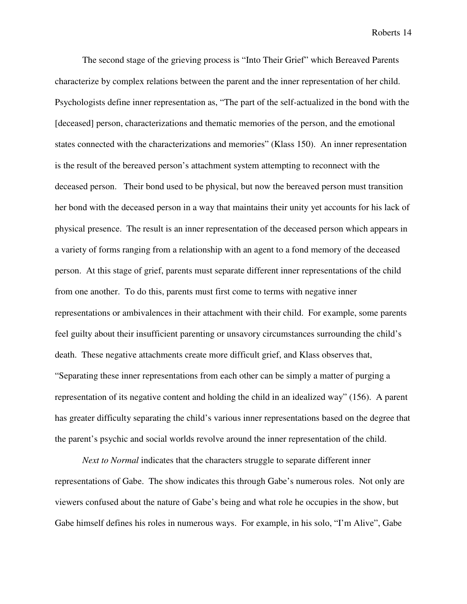The second stage of the grieving process is "Into Their Grief" which Bereaved Parents characterize by complex relations between the parent and the inner representation of her child. Psychologists define inner representation as, "The part of the self-actualized in the bond with the [deceased] person, characterizations and thematic memories of the person, and the emotional states connected with the characterizations and memories" (Klass 150). An inner representation is the result of the bereaved person's attachment system attempting to reconnect with the deceased person. Their bond used to be physical, but now the bereaved person must transition her bond with the deceased person in a way that maintains their unity yet accounts for his lack of physical presence. The result is an inner representation of the deceased person which appears in a variety of forms ranging from a relationship with an agent to a fond memory of the deceased person. At this stage of grief, parents must separate different inner representations of the child from one another. To do this, parents must first come to terms with negative inner representations or ambivalences in their attachment with their child. For example, some parents feel guilty about their insufficient parenting or unsavory circumstances surrounding the child's death. These negative attachments create more difficult grief, and Klass observes that, "Separating these inner representations from each other can be simply a matter of purging a representation of its negative content and holding the child in an idealized way" (156). A parent has greater difficulty separating the child's various inner representations based on the degree that the parent's psychic and social worlds revolve around the inner representation of the child.

*Next to Normal* indicates that the characters struggle to separate different inner representations of Gabe. The show indicates this through Gabe's numerous roles. Not only are viewers confused about the nature of Gabe's being and what role he occupies in the show, but Gabe himself defines his roles in numerous ways. For example, in his solo, "I'm Alive", Gabe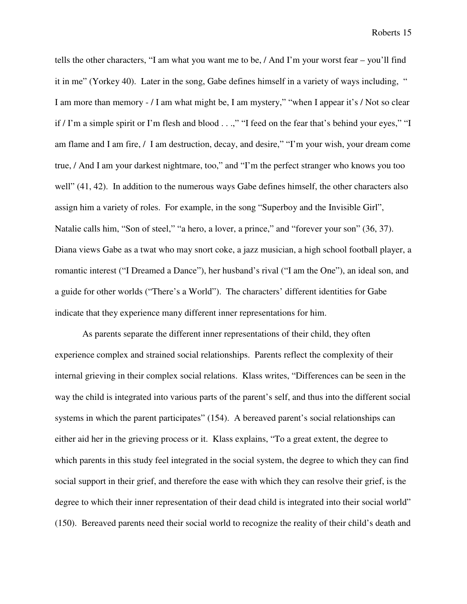tells the other characters, "I am what you want me to be, / And I'm your worst fear – you'll find it in me" (Yorkey 40). Later in the song, Gabe defines himself in a variety of ways including, " I am more than memory - / I am what might be, I am mystery," "when I appear it's / Not so clear if / I'm a simple spirit or I'm flesh and blood . . .," "I feed on the fear that's behind your eyes," "I am flame and I am fire, / I am destruction, decay, and desire," "I'm your wish, your dream come true, / And I am your darkest nightmare, too," and "I'm the perfect stranger who knows you too well" (41, 42). In addition to the numerous ways Gabe defines himself, the other characters also assign him a variety of roles. For example, in the song "Superboy and the Invisible Girl", Natalie calls him, "Son of steel," "a hero, a lover, a prince," and "forever your son" (36, 37). Diana views Gabe as a twat who may snort coke, a jazz musician, a high school football player, a romantic interest ("I Dreamed a Dance"), her husband's rival ("I am the One"), an ideal son, and a guide for other worlds ("There's a World"). The characters' different identities for Gabe indicate that they experience many different inner representations for him.

As parents separate the different inner representations of their child, they often experience complex and strained social relationships. Parents reflect the complexity of their internal grieving in their complex social relations. Klass writes, "Differences can be seen in the way the child is integrated into various parts of the parent's self, and thus into the different social systems in which the parent participates" (154). A bereaved parent's social relationships can either aid her in the grieving process or it. Klass explains, "To a great extent, the degree to which parents in this study feel integrated in the social system, the degree to which they can find social support in their grief, and therefore the ease with which they can resolve their grief, is the degree to which their inner representation of their dead child is integrated into their social world" (150). Bereaved parents need their social world to recognize the reality of their child's death and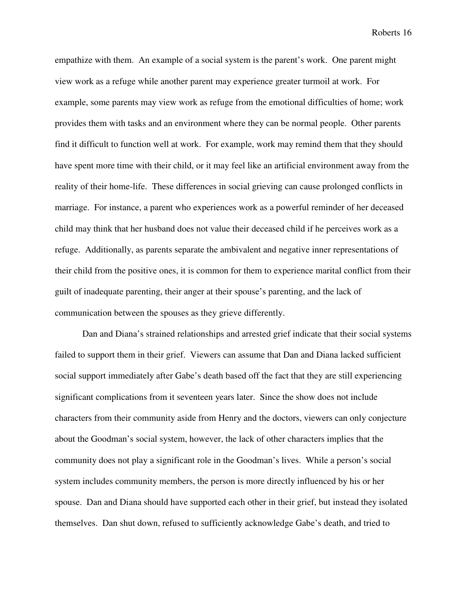empathize with them. An example of a social system is the parent's work. One parent might view work as a refuge while another parent may experience greater turmoil at work. For example, some parents may view work as refuge from the emotional difficulties of home; work provides them with tasks and an environment where they can be normal people. Other parents find it difficult to function well at work. For example, work may remind them that they should have spent more time with their child, or it may feel like an artificial environment away from the reality of their home-life. These differences in social grieving can cause prolonged conflicts in marriage. For instance, a parent who experiences work as a powerful reminder of her deceased child may think that her husband does not value their deceased child if he perceives work as a refuge. Additionally, as parents separate the ambivalent and negative inner representations of their child from the positive ones, it is common for them to experience marital conflict from their guilt of inadequate parenting, their anger at their spouse's parenting, and the lack of communication between the spouses as they grieve differently.

Dan and Diana's strained relationships and arrested grief indicate that their social systems failed to support them in their grief. Viewers can assume that Dan and Diana lacked sufficient social support immediately after Gabe's death based off the fact that they are still experiencing significant complications from it seventeen years later. Since the show does not include characters from their community aside from Henry and the doctors, viewers can only conjecture about the Goodman's social system, however, the lack of other characters implies that the community does not play a significant role in the Goodman's lives. While a person's social system includes community members, the person is more directly influenced by his or her spouse. Dan and Diana should have supported each other in their grief, but instead they isolated themselves. Dan shut down, refused to sufficiently acknowledge Gabe's death, and tried to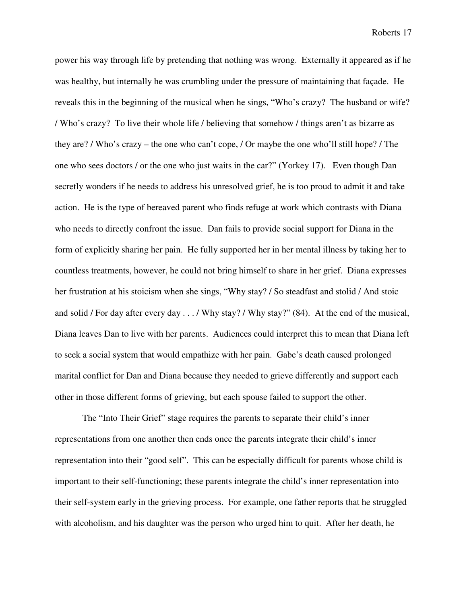power his way through life by pretending that nothing was wrong. Externally it appeared as if he was healthy, but internally he was crumbling under the pressure of maintaining that façade. He reveals this in the beginning of the musical when he sings, "Who's crazy? The husband or wife? / Who's crazy? To live their whole life / believing that somehow / things aren't as bizarre as they are? / Who's crazy – the one who can't cope, / Or maybe the one who'll still hope? / The one who sees doctors / or the one who just waits in the car?" (Yorkey 17). Even though Dan secretly wonders if he needs to address his unresolved grief, he is too proud to admit it and take action. He is the type of bereaved parent who finds refuge at work which contrasts with Diana who needs to directly confront the issue. Dan fails to provide social support for Diana in the form of explicitly sharing her pain. He fully supported her in her mental illness by taking her to countless treatments, however, he could not bring himself to share in her grief. Diana expresses her frustration at his stoicism when she sings, "Why stay? / So steadfast and stolid / And stoic and solid / For day after every day . . . / Why stay? / Why stay?" (84). At the end of the musical, Diana leaves Dan to live with her parents. Audiences could interpret this to mean that Diana left to seek a social system that would empathize with her pain. Gabe's death caused prolonged marital conflict for Dan and Diana because they needed to grieve differently and support each other in those different forms of grieving, but each spouse failed to support the other.

The "Into Their Grief" stage requires the parents to separate their child's inner representations from one another then ends once the parents integrate their child's inner representation into their "good self". This can be especially difficult for parents whose child is important to their self-functioning; these parents integrate the child's inner representation into their self-system early in the grieving process. For example, one father reports that he struggled with alcoholism, and his daughter was the person who urged him to quit. After her death, he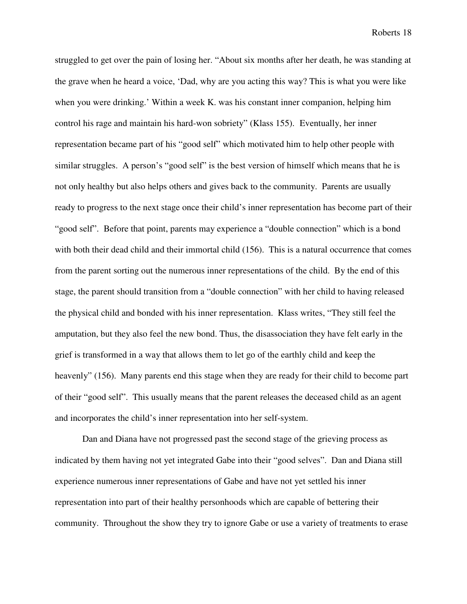struggled to get over the pain of losing her. "About six months after her death, he was standing at the grave when he heard a voice, 'Dad, why are you acting this way? This is what you were like when you were drinking.' Within a week K. was his constant inner companion, helping him control his rage and maintain his hard-won sobriety" (Klass 155). Eventually, her inner representation became part of his "good self" which motivated him to help other people with similar struggles. A person's "good self" is the best version of himself which means that he is not only healthy but also helps others and gives back to the community. Parents are usually ready to progress to the next stage once their child's inner representation has become part of their "good self". Before that point, parents may experience a "double connection" which is a bond with both their dead child and their immortal child (156). This is a natural occurrence that comes from the parent sorting out the numerous inner representations of the child. By the end of this stage, the parent should transition from a "double connection" with her child to having released the physical child and bonded with his inner representation. Klass writes, "They still feel the amputation, but they also feel the new bond. Thus, the disassociation they have felt early in the grief is transformed in a way that allows them to let go of the earthly child and keep the heavenly" (156). Many parents end this stage when they are ready for their child to become part of their "good self". This usually means that the parent releases the deceased child as an agent and incorporates the child's inner representation into her self-system.

Dan and Diana have not progressed past the second stage of the grieving process as indicated by them having not yet integrated Gabe into their "good selves". Dan and Diana still experience numerous inner representations of Gabe and have not yet settled his inner representation into part of their healthy personhoods which are capable of bettering their community. Throughout the show they try to ignore Gabe or use a variety of treatments to erase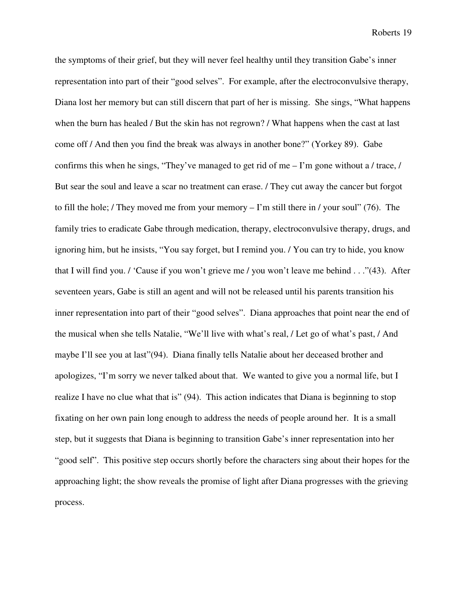the symptoms of their grief, but they will never feel healthy until they transition Gabe's inner representation into part of their "good selves". For example, after the electroconvulsive therapy, Diana lost her memory but can still discern that part of her is missing. She sings, "What happens when the burn has healed / But the skin has not regrown? / What happens when the cast at last come off / And then you find the break was always in another bone?" (Yorkey 89). Gabe confirms this when he sings, "They've managed to get rid of me – I'm gone without a / trace, / But sear the soul and leave a scar no treatment can erase. / They cut away the cancer but forgot to fill the hole; / They moved me from your memory – I'm still there in / your soul" (76). The family tries to eradicate Gabe through medication, therapy, electroconvulsive therapy, drugs, and ignoring him, but he insists, "You say forget, but I remind you. / You can try to hide, you know that I will find you. / 'Cause if you won't grieve me / you won't leave me behind . . ."(43). After seventeen years, Gabe is still an agent and will not be released until his parents transition his inner representation into part of their "good selves". Diana approaches that point near the end of the musical when she tells Natalie, "We'll live with what's real, / Let go of what's past, / And maybe I'll see you at last"(94). Diana finally tells Natalie about her deceased brother and apologizes, "I'm sorry we never talked about that. We wanted to give you a normal life, but I realize I have no clue what that is" (94). This action indicates that Diana is beginning to stop fixating on her own pain long enough to address the needs of people around her. It is a small step, but it suggests that Diana is beginning to transition Gabe's inner representation into her "good self". This positive step occurs shortly before the characters sing about their hopes for the approaching light; the show reveals the promise of light after Diana progresses with the grieving process.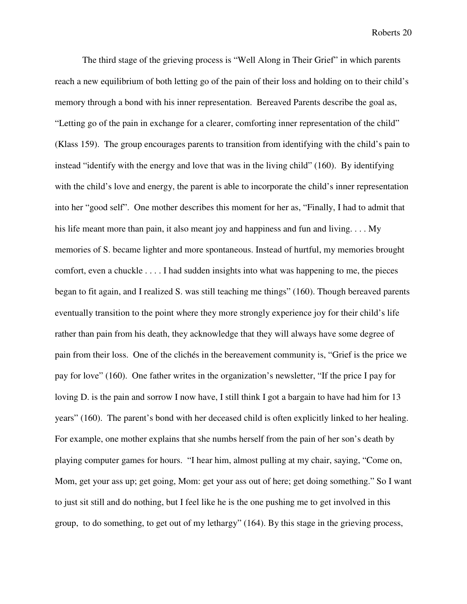The third stage of the grieving process is "Well Along in Their Grief" in which parents reach a new equilibrium of both letting go of the pain of their loss and holding on to their child's memory through a bond with his inner representation. Bereaved Parents describe the goal as, "Letting go of the pain in exchange for a clearer, comforting inner representation of the child" (Klass 159). The group encourages parents to transition from identifying with the child's pain to instead "identify with the energy and love that was in the living child" (160). By identifying with the child's love and energy, the parent is able to incorporate the child's inner representation into her "good self". One mother describes this moment for her as, "Finally, I had to admit that his life meant more than pain, it also meant joy and happiness and fun and living. . . . My memories of S. became lighter and more spontaneous. Instead of hurtful, my memories brought comfort, even a chuckle . . . . I had sudden insights into what was happening to me, the pieces began to fit again, and I realized S. was still teaching me things" (160). Though bereaved parents eventually transition to the point where they more strongly experience joy for their child's life rather than pain from his death, they acknowledge that they will always have some degree of pain from their loss. One of the clichés in the bereavement community is, "Grief is the price we pay for love" (160). One father writes in the organization's newsletter, "If the price I pay for loving D. is the pain and sorrow I now have, I still think I got a bargain to have had him for 13 years" (160). The parent's bond with her deceased child is often explicitly linked to her healing. For example, one mother explains that she numbs herself from the pain of her son's death by playing computer games for hours. "I hear him, almost pulling at my chair, saying, "Come on, Mom, get your ass up; get going, Mom: get your ass out of here; get doing something." So I want to just sit still and do nothing, but I feel like he is the one pushing me to get involved in this group, to do something, to get out of my lethargy" (164). By this stage in the grieving process,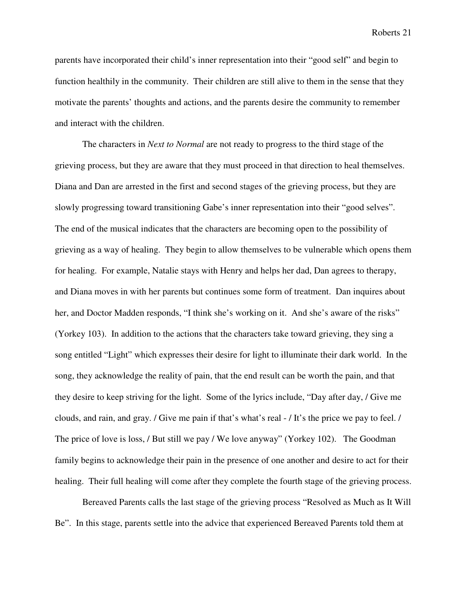parents have incorporated their child's inner representation into their "good self" and begin to function healthily in the community. Their children are still alive to them in the sense that they motivate the parents' thoughts and actions, and the parents desire the community to remember and interact with the children.

 The characters in *Next to Normal* are not ready to progress to the third stage of the grieving process, but they are aware that they must proceed in that direction to heal themselves. Diana and Dan are arrested in the first and second stages of the grieving process, but they are slowly progressing toward transitioning Gabe's inner representation into their "good selves". The end of the musical indicates that the characters are becoming open to the possibility of grieving as a way of healing. They begin to allow themselves to be vulnerable which opens them for healing. For example, Natalie stays with Henry and helps her dad, Dan agrees to therapy, and Diana moves in with her parents but continues some form of treatment. Dan inquires about her, and Doctor Madden responds, "I think she's working on it. And she's aware of the risks" (Yorkey 103). In addition to the actions that the characters take toward grieving, they sing a song entitled "Light" which expresses their desire for light to illuminate their dark world. In the song, they acknowledge the reality of pain, that the end result can be worth the pain, and that they desire to keep striving for the light. Some of the lyrics include, "Day after day, / Give me clouds, and rain, and gray. / Give me pain if that's what's real - / It's the price we pay to feel. / The price of love is loss, / But still we pay / We love anyway" (Yorkey 102). The Goodman family begins to acknowledge their pain in the presence of one another and desire to act for their healing. Their full healing will come after they complete the fourth stage of the grieving process.

Bereaved Parents calls the last stage of the grieving process "Resolved as Much as It Will Be". In this stage, parents settle into the advice that experienced Bereaved Parents told them at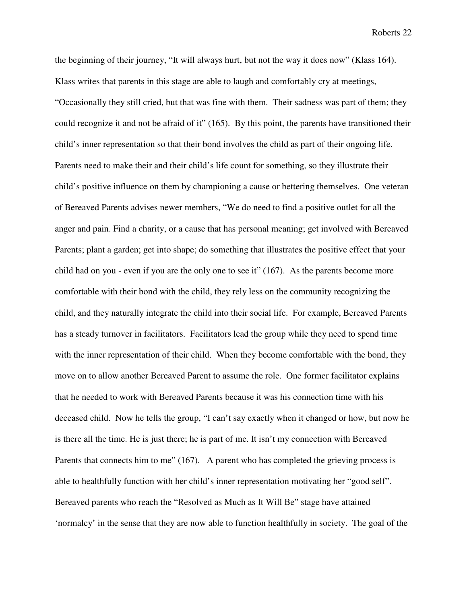the beginning of their journey, "It will always hurt, but not the way it does now" (Klass 164). Klass writes that parents in this stage are able to laugh and comfortably cry at meetings, "Occasionally they still cried, but that was fine with them. Their sadness was part of them; they could recognize it and not be afraid of it" (165). By this point, the parents have transitioned their child's inner representation so that their bond involves the child as part of their ongoing life. Parents need to make their and their child's life count for something, so they illustrate their child's positive influence on them by championing a cause or bettering themselves. One veteran of Bereaved Parents advises newer members, "We do need to find a positive outlet for all the anger and pain. Find a charity, or a cause that has personal meaning; get involved with Bereaved Parents; plant a garden; get into shape; do something that illustrates the positive effect that your child had on you - even if you are the only one to see it" (167). As the parents become more comfortable with their bond with the child, they rely less on the community recognizing the child, and they naturally integrate the child into their social life. For example, Bereaved Parents has a steady turnover in facilitators. Facilitators lead the group while they need to spend time with the inner representation of their child. When they become comfortable with the bond, they move on to allow another Bereaved Parent to assume the role. One former facilitator explains that he needed to work with Bereaved Parents because it was his connection time with his deceased child. Now he tells the group, "I can't say exactly when it changed or how, but now he is there all the time. He is just there; he is part of me. It isn't my connection with Bereaved Parents that connects him to me" (167). A parent who has completed the grieving process is able to healthfully function with her child's inner representation motivating her "good self". Bereaved parents who reach the "Resolved as Much as It Will Be" stage have attained 'normalcy' in the sense that they are now able to function healthfully in society. The goal of the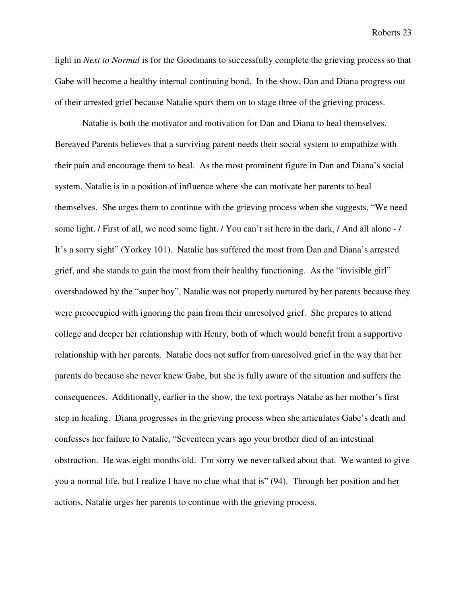light in *Next to Normal* is for the Goodmans to successfully complete the grieving process so that Gabe will become a healthy internal continuing bond. In the show, Dan and Diana progress out of their arrested grief because Natalie spurs them on to stage three of the grieving process.

Natalie is both the motivator and motivation for Dan and Diana to heal themselves. Bereaved Parents believes that a surviving parent needs their social system to empathize with their pain and encourage them to heal. As the most prominent figure in Dan and Diana's social system, Natalie is in a position of influence where she can motivate her parents to heal themselves. She urges them to continue with the grieving process when she suggests, "We need some light. / First of all, we need some light. / You can't sit here in the dark, / And all alone - / It's a sorry sight" (Yorkey 101). Natalie has suffered the most from Dan and Diana's arrested grief, and she stands to gain the most from their healthy functioning. As the "invisible girl" overshadowed by the "super boy", Natalie was not properly nurtured by her parents because they were preoccupied with ignoring the pain from their unresolved grief. She prepares to attend college and deeper her relationship with Henry, both of which would benefit from a supportive relationship with her parents. Natalie does not suffer from unresolved grief in the way that her parents do because she never knew Gabe, but she is fully aware of the situation and suffers the consequences. Additionally, earlier in the show, the text portrays Natalie as her mother's first step in healing. Diana progresses in the grieving process when she articulates Gabe's death and confesses her failure to Natalie, "Seventeen years ago your brother died of an intestinal obstruction. He was eight months old. I'm sorry we never talked about that. We wanted to give you a normal life, but I realize I have no clue what that is" (94). Through her position and her actions, Natalie urges her parents to continue with the grieving process.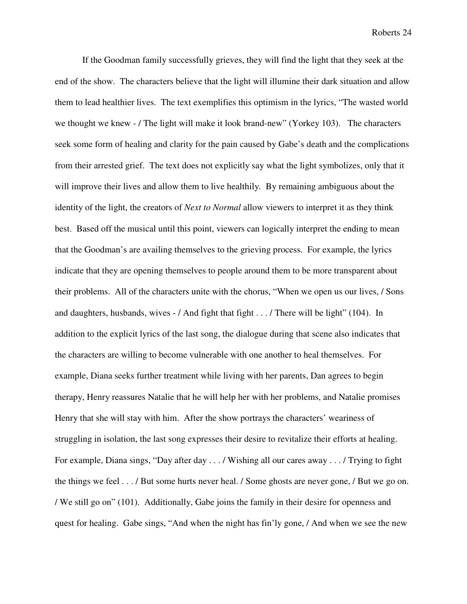If the Goodman family successfully grieves, they will find the light that they seek at the end of the show. The characters believe that the light will illumine their dark situation and allow them to lead healthier lives. The text exemplifies this optimism in the lyrics, "The wasted world we thought we knew - / The light will make it look brand-new" (Yorkey 103). The characters seek some form of healing and clarity for the pain caused by Gabe's death and the complications from their arrested grief. The text does not explicitly say what the light symbolizes, only that it will improve their lives and allow them to live healthily. By remaining ambiguous about the identity of the light, the creators of *Next to Normal* allow viewers to interpret it as they think best. Based off the musical until this point, viewers can logically interpret the ending to mean that the Goodman's are availing themselves to the grieving process. For example, the lyrics indicate that they are opening themselves to people around them to be more transparent about their problems. All of the characters unite with the chorus, "When we open us our lives, / Sons and daughters, husbands, wives - / And fight that fight . . . / There will be light" (104). In addition to the explicit lyrics of the last song, the dialogue during that scene also indicates that the characters are willing to become vulnerable with one another to heal themselves. For example, Diana seeks further treatment while living with her parents, Dan agrees to begin therapy, Henry reassures Natalie that he will help her with her problems, and Natalie promises Henry that she will stay with him. After the show portrays the characters' weariness of struggling in isolation, the last song expresses their desire to revitalize their efforts at healing. For example, Diana sings, "Day after day . . . / Wishing all our cares away . . . / Trying to fight the things we feel . . . / But some hurts never heal. / Some ghosts are never gone, / But we go on. / We still go on" (101). Additionally, Gabe joins the family in their desire for openness and quest for healing. Gabe sings, "And when the night has fin'ly gone, / And when we see the new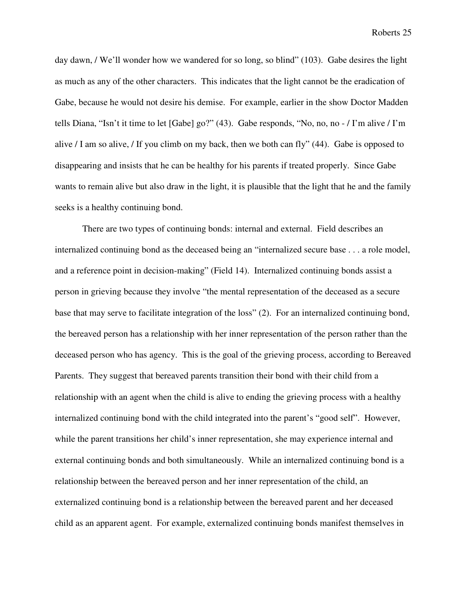day dawn, / We'll wonder how we wandered for so long, so blind" (103). Gabe desires the light as much as any of the other characters. This indicates that the light cannot be the eradication of Gabe, because he would not desire his demise. For example, earlier in the show Doctor Madden tells Diana, "Isn't it time to let [Gabe] go?" (43). Gabe responds, "No, no, no - / I'm alive / I'm alive / I am so alive, / If you climb on my back, then we both can fly" (44). Gabe is opposed to disappearing and insists that he can be healthy for his parents if treated properly. Since Gabe wants to remain alive but also draw in the light, it is plausible that the light that he and the family seeks is a healthy continuing bond.

There are two types of continuing bonds: internal and external. Field describes an internalized continuing bond as the deceased being an "internalized secure base . . . a role model, and a reference point in decision-making" (Field 14). Internalized continuing bonds assist a person in grieving because they involve "the mental representation of the deceased as a secure base that may serve to facilitate integration of the loss" (2). For an internalized continuing bond, the bereaved person has a relationship with her inner representation of the person rather than the deceased person who has agency. This is the goal of the grieving process, according to Bereaved Parents. They suggest that bereaved parents transition their bond with their child from a relationship with an agent when the child is alive to ending the grieving process with a healthy internalized continuing bond with the child integrated into the parent's "good self". However, while the parent transitions her child's inner representation, she may experience internal and external continuing bonds and both simultaneously. While an internalized continuing bond is a relationship between the bereaved person and her inner representation of the child, an externalized continuing bond is a relationship between the bereaved parent and her deceased child as an apparent agent. For example, externalized continuing bonds manifest themselves in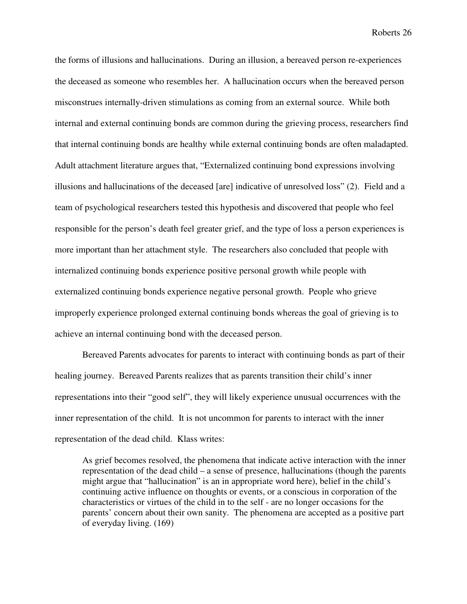the forms of illusions and hallucinations. During an illusion, a bereaved person re-experiences the deceased as someone who resembles her. A hallucination occurs when the bereaved person misconstrues internally-driven stimulations as coming from an external source. While both internal and external continuing bonds are common during the grieving process, researchers find that internal continuing bonds are healthy while external continuing bonds are often maladapted. Adult attachment literature argues that, "Externalized continuing bond expressions involving illusions and hallucinations of the deceased [are] indicative of unresolved loss" (2). Field and a team of psychological researchers tested this hypothesis and discovered that people who feel responsible for the person's death feel greater grief, and the type of loss a person experiences is more important than her attachment style. The researchers also concluded that people with internalized continuing bonds experience positive personal growth while people with externalized continuing bonds experience negative personal growth. People who grieve improperly experience prolonged external continuing bonds whereas the goal of grieving is to achieve an internal continuing bond with the deceased person.

 Bereaved Parents advocates for parents to interact with continuing bonds as part of their healing journey. Bereaved Parents realizes that as parents transition their child's inner representations into their "good self", they will likely experience unusual occurrences with the inner representation of the child. It is not uncommon for parents to interact with the inner representation of the dead child. Klass writes:

As grief becomes resolved, the phenomena that indicate active interaction with the inner representation of the dead child – a sense of presence, hallucinations (though the parents might argue that "hallucination" is an in appropriate word here), belief in the child's continuing active influence on thoughts or events, or a conscious in corporation of the characteristics or virtues of the child in to the self - are no longer occasions for the parents' concern about their own sanity. The phenomena are accepted as a positive part of everyday living. (169)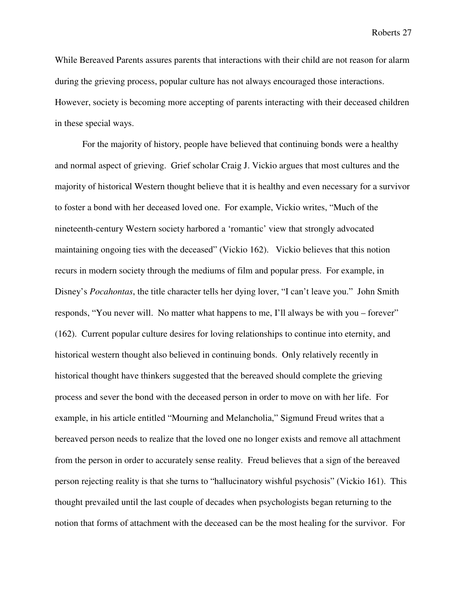While Bereaved Parents assures parents that interactions with their child are not reason for alarm during the grieving process, popular culture has not always encouraged those interactions. However, society is becoming more accepting of parents interacting with their deceased children in these special ways.

For the majority of history, people have believed that continuing bonds were a healthy and normal aspect of grieving. Grief scholar Craig J. Vickio argues that most cultures and the majority of historical Western thought believe that it is healthy and even necessary for a survivor to foster a bond with her deceased loved one. For example, Vickio writes, "Much of the nineteenth-century Western society harbored a 'romantic' view that strongly advocated maintaining ongoing ties with the deceased" (Vickio 162). Vickio believes that this notion recurs in modern society through the mediums of film and popular press. For example, in Disney's *Pocahontas*, the title character tells her dying lover, "I can't leave you." John Smith responds, "You never will. No matter what happens to me, I'll always be with you – forever" (162). Current popular culture desires for loving relationships to continue into eternity, and historical western thought also believed in continuing bonds. Only relatively recently in historical thought have thinkers suggested that the bereaved should complete the grieving process and sever the bond with the deceased person in order to move on with her life. For example, in his article entitled "Mourning and Melancholia," Sigmund Freud writes that a bereaved person needs to realize that the loved one no longer exists and remove all attachment from the person in order to accurately sense reality. Freud believes that a sign of the bereaved person rejecting reality is that she turns to "hallucinatory wishful psychosis" (Vickio 161). This thought prevailed until the last couple of decades when psychologists began returning to the notion that forms of attachment with the deceased can be the most healing for the survivor. For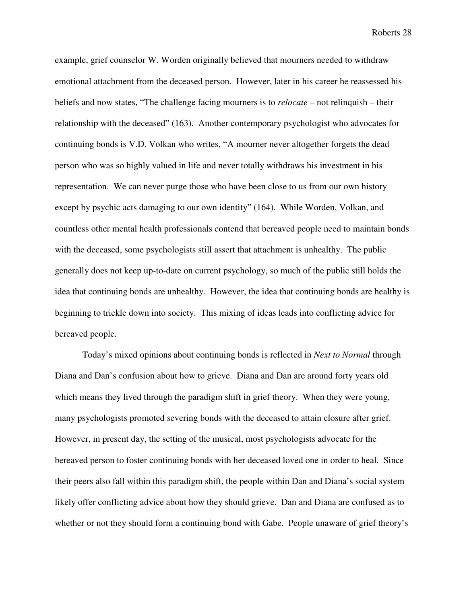example, grief counselor W. Worden originally believed that mourners needed to withdraw emotional attachment from the deceased person. However, later in his career he reassessed his beliefs and now states, "The challenge facing mourners is to *relocate* – not relinquish – their relationship with the deceased" (163). Another contemporary psychologist who advocates for continuing bonds is V.D. Volkan who writes, "A mourner never altogether forgets the dead person who was so highly valued in life and never totally withdraws his investment in his representation. We can never purge those who have been close to us from our own history except by psychic acts damaging to our own identity" (164). While Worden, Volkan, and countless other mental health professionals contend that bereaved people need to maintain bonds with the deceased, some psychologists still assert that attachment is unhealthy. The public generally does not keep up-to-date on current psychology, so much of the public still holds the idea that continuing bonds are unhealthy. However, the idea that continuing bonds are healthy is beginning to trickle down into society. This mixing of ideas leads into conflicting advice for bereaved people.

Today's mixed opinions about continuing bonds is reflected in *Next to Normal* through Diana and Dan's confusion about how to grieve. Diana and Dan are around forty years old which means they lived through the paradigm shift in grief theory. When they were young, many psychologists promoted severing bonds with the deceased to attain closure after grief. However, in present day, the setting of the musical, most psychologists advocate for the bereaved person to foster continuing bonds with her deceased loved one in order to heal. Since their peers also fall within this paradigm shift, the people within Dan and Diana's social system likely offer conflicting advice about how they should grieve. Dan and Diana are confused as to whether or not they should form a continuing bond with Gabe. People unaware of grief theory's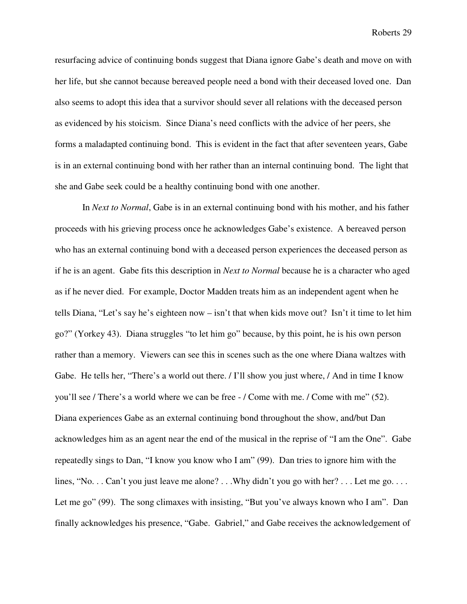resurfacing advice of continuing bonds suggest that Diana ignore Gabe's death and move on with her life, but she cannot because bereaved people need a bond with their deceased loved one. Dan also seems to adopt this idea that a survivor should sever all relations with the deceased person as evidenced by his stoicism. Since Diana's need conflicts with the advice of her peers, she forms a maladapted continuing bond. This is evident in the fact that after seventeen years, Gabe is in an external continuing bond with her rather than an internal continuing bond. The light that she and Gabe seek could be a healthy continuing bond with one another.

In *Next to Normal*, Gabe is in an external continuing bond with his mother, and his father proceeds with his grieving process once he acknowledges Gabe's existence. A bereaved person who has an external continuing bond with a deceased person experiences the deceased person as if he is an agent. Gabe fits this description in *Next to Normal* because he is a character who aged as if he never died. For example, Doctor Madden treats him as an independent agent when he tells Diana, "Let's say he's eighteen now – isn't that when kids move out? Isn't it time to let him go?" (Yorkey 43). Diana struggles "to let him go" because, by this point, he is his own person rather than a memory. Viewers can see this in scenes such as the one where Diana waltzes with Gabe. He tells her, "There's a world out there. / I'll show you just where, / And in time I know you'll see / There's a world where we can be free - / Come with me. / Come with me" (52). Diana experiences Gabe as an external continuing bond throughout the show, and/but Dan acknowledges him as an agent near the end of the musical in the reprise of "I am the One". Gabe repeatedly sings to Dan, "I know you know who I am" (99). Dan tries to ignore him with the lines, "No... Can't you just leave me alone?... Why didn't you go with her?... Let me go.... Let me go" (99). The song climaxes with insisting, "But you've always known who I am". Dan finally acknowledges his presence, "Gabe. Gabriel," and Gabe receives the acknowledgement of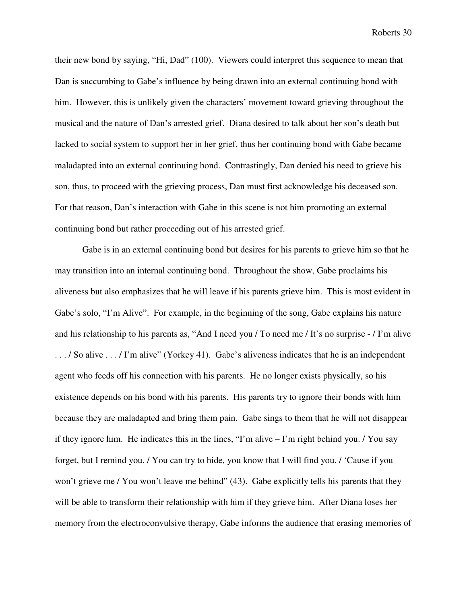their new bond by saying, "Hi, Dad" (100). Viewers could interpret this sequence to mean that Dan is succumbing to Gabe's influence by being drawn into an external continuing bond with him. However, this is unlikely given the characters' movement toward grieving throughout the musical and the nature of Dan's arrested grief. Diana desired to talk about her son's death but lacked to social system to support her in her grief, thus her continuing bond with Gabe became maladapted into an external continuing bond. Contrastingly, Dan denied his need to grieve his son, thus, to proceed with the grieving process, Dan must first acknowledge his deceased son. For that reason, Dan's interaction with Gabe in this scene is not him promoting an external continuing bond but rather proceeding out of his arrested grief.

Gabe is in an external continuing bond but desires for his parents to grieve him so that he may transition into an internal continuing bond. Throughout the show, Gabe proclaims his aliveness but also emphasizes that he will leave if his parents grieve him. This is most evident in Gabe's solo, "I'm Alive". For example, in the beginning of the song, Gabe explains his nature and his relationship to his parents as, "And I need you / To need me / It's no surprise - / I'm alive . . . / So alive . . . / I'm alive" (Yorkey 41). Gabe's aliveness indicates that he is an independent agent who feeds off his connection with his parents. He no longer exists physically, so his existence depends on his bond with his parents. His parents try to ignore their bonds with him because they are maladapted and bring them pain. Gabe sings to them that he will not disappear if they ignore him. He indicates this in the lines, "I'm alive  $-I$ 'm right behind you. / You say forget, but I remind you. / You can try to hide, you know that I will find you. / 'Cause if you won't grieve me / You won't leave me behind" (43). Gabe explicitly tells his parents that they will be able to transform their relationship with him if they grieve him. After Diana loses her memory from the electroconvulsive therapy, Gabe informs the audience that erasing memories of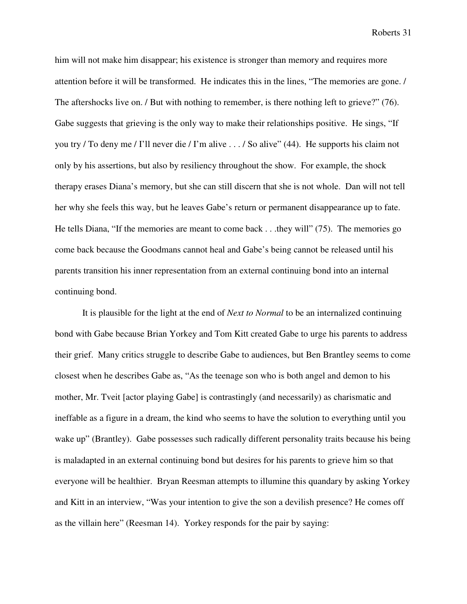him will not make him disappear; his existence is stronger than memory and requires more attention before it will be transformed. He indicates this in the lines, "The memories are gone. / The aftershocks live on. / But with nothing to remember, is there nothing left to grieve?" (76). Gabe suggests that grieving is the only way to make their relationships positive. He sings, "If you try / To deny me / I'll never die / I'm alive . . . / So alive" (44). He supports his claim not only by his assertions, but also by resiliency throughout the show. For example, the shock therapy erases Diana's memory, but she can still discern that she is not whole. Dan will not tell her why she feels this way, but he leaves Gabe's return or permanent disappearance up to fate. He tells Diana, "If the memories are meant to come back . . .they will" (75). The memories go come back because the Goodmans cannot heal and Gabe's being cannot be released until his parents transition his inner representation from an external continuing bond into an internal continuing bond.

It is plausible for the light at the end of *Next to Normal* to be an internalized continuing bond with Gabe because Brian Yorkey and Tom Kitt created Gabe to urge his parents to address their grief. Many critics struggle to describe Gabe to audiences, but Ben Brantley seems to come closest when he describes Gabe as, "As the teenage son who is both angel and demon to his mother, Mr. Tveit [actor playing Gabe] is contrastingly (and necessarily) as charismatic and ineffable as a figure in a dream, the kind who seems to have the solution to everything until you wake up" (Brantley). Gabe possesses such radically different personality traits because his being is maladapted in an external continuing bond but desires for his parents to grieve him so that everyone will be healthier. Bryan Reesman attempts to illumine this quandary by asking Yorkey and Kitt in an interview, "Was your intention to give the son a devilish presence? He comes off as the villain here" (Reesman 14). Yorkey responds for the pair by saying: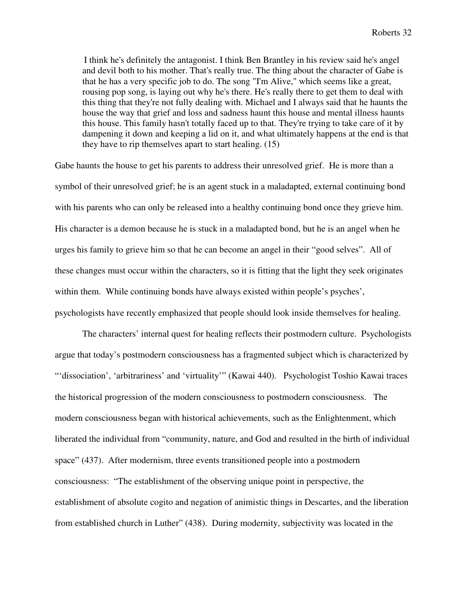I think he's definitely the antagonist. I think Ben Brantley in his review said he's angel and devil both to his mother. That's really true. The thing about the character of Gabe is that he has a very specific job to do. The song "I'm Alive," which seems like a great, rousing pop song, is laying out why he's there. He's really there to get them to deal with this thing that they're not fully dealing with. Michael and I always said that he haunts the house the way that grief and loss and sadness haunt this house and mental illness haunts this house. This family hasn't totally faced up to that. They're trying to take care of it by dampening it down and keeping a lid on it, and what ultimately happens at the end is that they have to rip themselves apart to start healing. (15)

Gabe haunts the house to get his parents to address their unresolved grief. He is more than a symbol of their unresolved grief; he is an agent stuck in a maladapted, external continuing bond with his parents who can only be released into a healthy continuing bond once they grieve him. His character is a demon because he is stuck in a maladapted bond, but he is an angel when he urges his family to grieve him so that he can become an angel in their "good selves". All of these changes must occur within the characters, so it is fitting that the light they seek originates within them. While continuing bonds have always existed within people's psyches', psychologists have recently emphasized that people should look inside themselves for healing.

The characters' internal quest for healing reflects their postmodern culture. Psychologists argue that today's postmodern consciousness has a fragmented subject which is characterized by "'dissociation', 'arbitrariness' and 'virtuality'" (Kawai 440). Psychologist Toshio Kawai traces the historical progression of the modern consciousness to postmodern consciousness. The modern consciousness began with historical achievements, such as the Enlightenment, which liberated the individual from "community, nature, and God and resulted in the birth of individual space" (437). After modernism, three events transitioned people into a postmodern consciousness: "The establishment of the observing unique point in perspective, the establishment of absolute cogito and negation of animistic things in Descartes, and the liberation from established church in Luther" (438). During modernity, subjectivity was located in the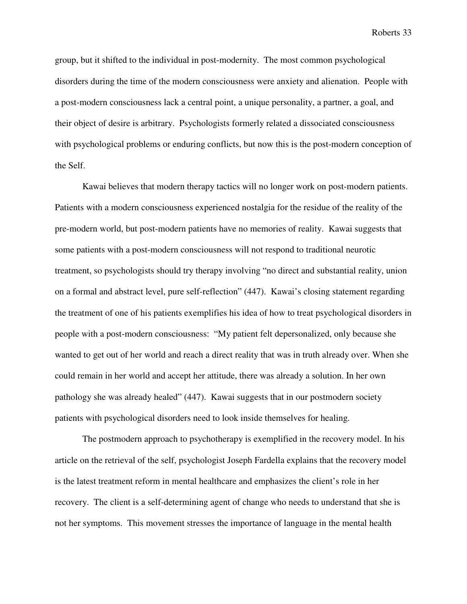group, but it shifted to the individual in post-modernity. The most common psychological disorders during the time of the modern consciousness were anxiety and alienation. People with a post-modern consciousness lack a central point, a unique personality, a partner, a goal, and their object of desire is arbitrary. Psychologists formerly related a dissociated consciousness with psychological problems or enduring conflicts, but now this is the post-modern conception of the Self.

Kawai believes that modern therapy tactics will no longer work on post-modern patients. Patients with a modern consciousness experienced nostalgia for the residue of the reality of the pre-modern world, but post-modern patients have no memories of reality. Kawai suggests that some patients with a post-modern consciousness will not respond to traditional neurotic treatment, so psychologists should try therapy involving "no direct and substantial reality, union on a formal and abstract level, pure self-reflection" (447). Kawai's closing statement regarding the treatment of one of his patients exemplifies his idea of how to treat psychological disorders in people with a post-modern consciousness: "My patient felt depersonalized, only because she wanted to get out of her world and reach a direct reality that was in truth already over. When she could remain in her world and accept her attitude, there was already a solution. In her own pathology she was already healed" (447). Kawai suggests that in our postmodern society patients with psychological disorders need to look inside themselves for healing.

The postmodern approach to psychotherapy is exemplified in the recovery model. In his article on the retrieval of the self, psychologist Joseph Fardella explains that the recovery model is the latest treatment reform in mental healthcare and emphasizes the client's role in her recovery. The client is a self-determining agent of change who needs to understand that she is not her symptoms. This movement stresses the importance of language in the mental health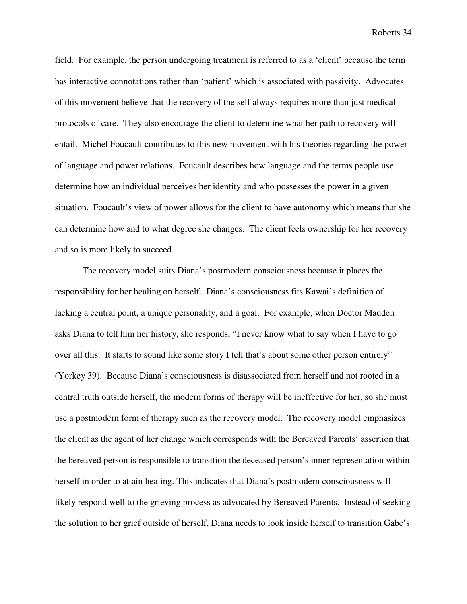field. For example, the person undergoing treatment is referred to as a 'client' because the term has interactive connotations rather than 'patient' which is associated with passivity. Advocates of this movement believe that the recovery of the self always requires more than just medical protocols of care. They also encourage the client to determine what her path to recovery will entail. Michel Foucault contributes to this new movement with his theories regarding the power of language and power relations. Foucault describes how language and the terms people use determine how an individual perceives her identity and who possesses the power in a given situation. Foucault's view of power allows for the client to have autonomy which means that she can determine how and to what degree she changes. The client feels ownership for her recovery and so is more likely to succeed.

The recovery model suits Diana's postmodern consciousness because it places the responsibility for her healing on herself. Diana's consciousness fits Kawai's definition of lacking a central point, a unique personality, and a goal. For example, when Doctor Madden asks Diana to tell him her history, she responds, "I never know what to say when I have to go over all this. It starts to sound like some story I tell that's about some other person entirely" (Yorkey 39). Because Diana's consciousness is disassociated from herself and not rooted in a central truth outside herself, the modern forms of therapy will be ineffective for her, so she must use a postmodern form of therapy such as the recovery model. The recovery model emphasizes the client as the agent of her change which corresponds with the Bereaved Parents' assertion that the bereaved person is responsible to transition the deceased person's inner representation within herself in order to attain healing. This indicates that Diana's postmodern consciousness will likely respond well to the grieving process as advocated by Bereaved Parents. Instead of seeking the solution to her grief outside of herself, Diana needs to look inside herself to transition Gabe's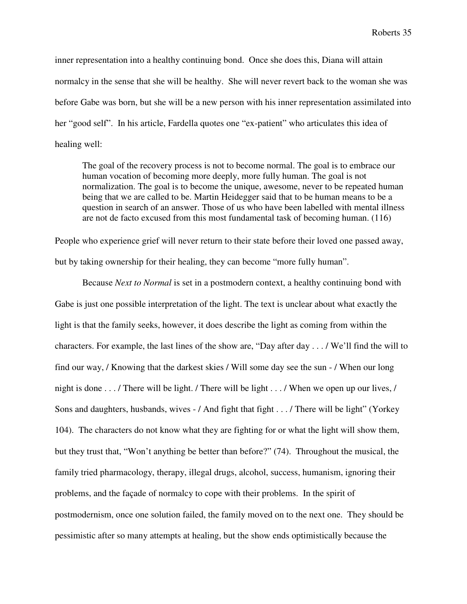inner representation into a healthy continuing bond. Once she does this, Diana will attain normalcy in the sense that she will be healthy. She will never revert back to the woman she was before Gabe was born, but she will be a new person with his inner representation assimilated into her "good self". In his article, Fardella quotes one "ex-patient" who articulates this idea of healing well:

The goal of the recovery process is not to become normal. The goal is to embrace our human vocation of becoming more deeply, more fully human. The goal is not normalization. The goal is to become the unique, awesome, never to be repeated human being that we are called to be. Martin Heidegger said that to be human means to be a question in search of an answer. Those of us who have been labelled with mental illness are not de facto excused from this most fundamental task of becoming human. (116)

People who experience grief will never return to their state before their loved one passed away, but by taking ownership for their healing, they can become "more fully human".

Because *Next to Normal* is set in a postmodern context, a healthy continuing bond with Gabe is just one possible interpretation of the light. The text is unclear about what exactly the light is that the family seeks, however, it does describe the light as coming from within the characters. For example, the last lines of the show are, "Day after day . . . / We'll find the will to find our way, / Knowing that the darkest skies / Will some day see the sun - / When our long night is done . . . / There will be light. / There will be light . . . / When we open up our lives, / Sons and daughters, husbands, wives - / And fight that fight . . . / There will be light" (Yorkey 104). The characters do not know what they are fighting for or what the light will show them, but they trust that, "Won't anything be better than before?" (74). Throughout the musical, the family tried pharmacology, therapy, illegal drugs, alcohol, success, humanism, ignoring their problems, and the façade of normalcy to cope with their problems. In the spirit of postmodernism, once one solution failed, the family moved on to the next one. They should be pessimistic after so many attempts at healing, but the show ends optimistically because the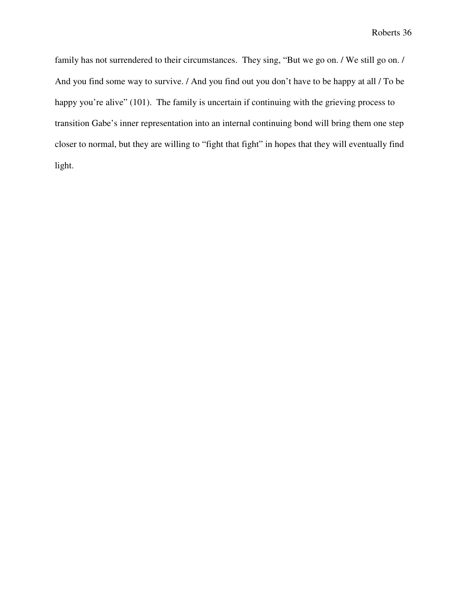family has not surrendered to their circumstances. They sing, "But we go on. / We still go on. / And you find some way to survive. / And you find out you don't have to be happy at all / To be happy you're alive" (101). The family is uncertain if continuing with the grieving process to transition Gabe's inner representation into an internal continuing bond will bring them one step closer to normal, but they are willing to "fight that fight" in hopes that they will eventually find light.